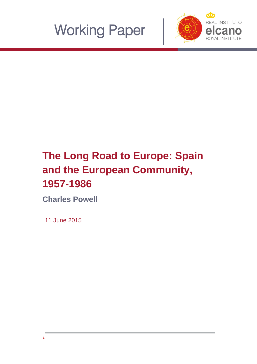



# **The Long Road to Europe: Spain and the European Community, 1957-1986**

**Charles Powell**

11 June 2015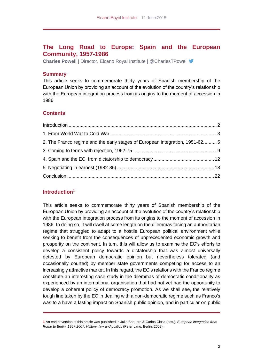## **The Long Road to Europe: Spain and the European Community, 1957-1986**

**Charles Powell** | Director, Elcano Royal Institute | @CharlesTPowell

#### **Summary**

This article seeks to commemorate thirty years of Spanish membership of the European Union by providing an account of the evolution of the country's relationship with the European integration process from its origins to the moment of accession in 1986.

## **Contents**

| 2. The Franco regime and the early stages of European integration, 1951-625 |  |
|-----------------------------------------------------------------------------|--|
|                                                                             |  |
|                                                                             |  |
|                                                                             |  |
|                                                                             |  |

## <span id="page-1-0"></span>**Introduction<sup>1</sup>**

This article seeks to commemorate thirty years of Spanish membership of the European Union by providing an account of the evolution of the country's relationship with the European integration process from its origins to the moment of accession in 1986. In doing so, it will dwell at some length on the dilemmas facing an authoritarian regime that struggled to adapt to a hostile European political environment while seeking to benefit from the consequences of unprecedented economic growth and prosperity on the continent. In turn, this will allow us to examine the EC's efforts to develop a consistent policy towards a dictatorship that was almost universally detested by European democratic opinion but nevertheless tolerated (and occasionally courted) by member state governments competing for access to an increasingly attractive market. In this regard, the EC's relations with the Franco regime constitute an interesting case study in the dilemmas of democratic conditionality as experienced by an international organisation that had not yet had the opportunity to develop a coherent policy of democracy promotion. As we shall see, the relatively tough line taken by the EC in dealing with a non-democratic regime such as Franco's was to a have a lasting impact on Spanish public opinion, and in particular on public

**<sup>1</sup>** An earlier version of this article was published in Julio Baquero & Carlos Closa (eds.), *European integration from Rome to Berlin, 1957-2007. History, law and politics* (Peter Lang, Berlin, 2009).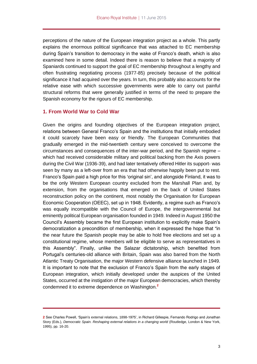perceptions of the nature of the European integration project as a whole. This partly explains the enormous political significance that was attached to EC membership during Spain's transition to democracy in the wake of Franco's death, which is also examined here in some detail. Indeed there is reason to believe that a majority of Spaniards continued to support the goal of EC membership throughout a lengthy and often frustrating negotiating process (1977-85) precisely because of the political significance it had acquired over the years. In turn, this probably also accounts for the relative ease with which successive governments were able to carry out painful structural reforms that were generally justified in terms of the need to prepare the Spanish economy for the rigours of EC membership.

## <span id="page-2-0"></span>**1. From World War to Cold War**

Given the origins and founding objectives of the European integration project, relations between General Franco's Spain and the institutions that initially embodied it could scarcely have been easy or friendly. The European Communities that gradually emerged in the mid-twentieth century were conceived to overcome the circumstances and consequences of the inter-war period, and the Spanish regime – which had received considerable military and political backing from the Axis powers during the Civil War (1936-39), and had later tentatively offered Hitler its support- was seen by many as a left-over from an era that had otherwise happily been put to rest. Franco's Spain paid a high price for this 'original sin', and alongside Finland, it was to be the only Western European country excluded from the Marshall Plan and, by extension, from the organisations that emerged on the back of United States reconstruction policy on the continent, most notably the Organisation for European Economic Cooperation (OEEC), set up in 1948. Evidently, a regime such as Franco's was equally incompatible with the Council of Europe, the intergovernmental but eminently political European organisation founded in 1949. Indeed in August 1950 the Council's Assembly became the first European institution to explicitly make Spain's democratization a precondition of membership, when it expressed the hope that "in the near future the Spanish people may be able to hold free elections and set up a constitutional regime, whose members will be eligible to serve as representatives in this Assembly". Finally, unlike the Salazar dictatorship, which benefited from Portugal's centuries-old alliance with Britain, Spain was also barred from the North Atlantic Treaty Organisation, the major Western defensive alliance launched in 1949. It is important to note that the exclusion of Franco's Spain from the early stages of European integration, which initially developed under the auspices of the United States, occurred at the instigation of the major European democracies, which thereby condemned it to extreme dependence on Washington.**<sup>2</sup>**

**<sup>2</sup>** See Charles Powell, 'Spain's external relations, 1898-1975', in Richard Gillespie, Fernando Rodrigo and Jonathan Story (Eds.), *Democratic Spain. Reshaping external relations in a changing world* (Routledge, London & New York, 1995), pp. 16-20.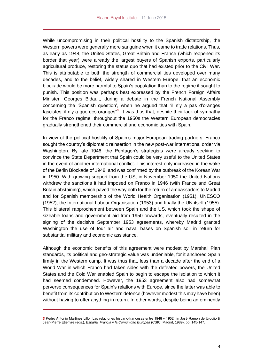While uncompromising in their political hostility to the Spanish dictatorship, the Western powers were generally more sanguine when it came to trade relations. Thus, as early as 1948, the United States, Great Britain and France (which reopened its border that year) were already the largest buyers of Spanish exports, particularly agricultural produce, restoring the status quo that had existed prior to the Civil War. This is attributable to both the strength of commercial ties developed over many decades, and to the belief, widely shared in Western Europe, that an economic blockade would be more harmful to Spain's population than to the regime it sought to punish. This position was perhaps best expressed by the French Foreign Affairs Minister, Georges Bidault, during a debate in the French National Assembly concerning the 'Spanish question', when he argued that "il n'y a pas d'oranges fascistes; il n'y a que des oranges"<sup>3</sup>. It was thus that, despite their lack of sympathy for the Franco regime, throughout the 1950s the Western European democracies gradually strengthened their commercial and economic ties with Spain.

In view of the political hostility of Spain's major European trading partners, Franco sought the country's diplomatic reinsertion in the new post-war international order via Washington. By late 1946, the Pentagon's strategists were already seeking to convince the State Department that Spain could be very useful to the United States in the event of another international conflict. This interest only increased in the wake of the Berlin Blockade of 1948, and was confirmed by the outbreak of the Korean War in 1950. With growing support from the US, in November 1950 the United Nations withdrew the sanctions it had imposed on Franco in 1946 (with France and Great Britain abstaining), which paved the way both for the return of ambassadors to Madrid and for Spanish membership of the World Health Organisation (1951), UNESCO (1952), the International Labour Organisation (1953) and finally the UN itself (1955). This bilateral rapprochement between Spain and the US, which took the shape of sizeable loans and government aid from 1950 onwards, eventually resulted in the signing of the decisive September 1953 agreements, whereby Madrid granted Washington the use of four air and naval bases on Spanish soil in return for substantial military and economic assistance.

Although the economic benefits of this agreement were modest by Marshall Plan standards, its political and geo-strategic value was undeniable, for it anchored Spain firmly in the Western camp. It was thus that, less than a decade after the end of a World War in which Franco had taken sides with the defeated powers, the United States and the Cold War enabled Spain to begin to escape the isolation to which it had seemed condemned. However, the 1953 agreement also had somewhat perverse consequences for Spain's relations with Europe, since the latter was able to benefit from its contribution to Western defence (however modest this may have been) without having to offer anything in return. In other words, despite being an eminently

**<sup>3</sup>** Pedro Antonio Martínez Lillo, 'Las relaciones hispano-francesas entre 1948 y 1952', in José Ramón de Urquijo & Jean-Pierre Etienvre (eds.), *España, Francia* y *la Comunidad Europea* (CSIC, Madrid, 1989), pp. 145-147.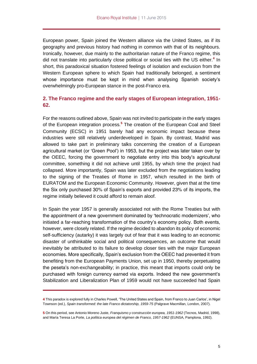European power, Spain joined the Western alliance via the United States, as if its geography and previous history had nothing in common with that of its neighbours. Ironically, however, due mainly to the authoritarian nature of the Franco regime, this did not translate into particularly close political or social ties with the US either.**<sup>4</sup>** In short, this paradoxical situation fostered feelings of isolation and exclusion from the Western European sphere to which Spain had traditionally belonged, a sentiment whose importance must be kept in mind when analysing Spanish society's overwhelmingly pro-European stance in the post-Franco era.

## <span id="page-4-0"></span>**2. The Franco regime and the early stages of European integration, 1951- 62.**

For the reasons outlined above, Spain was not invited to participate in the early stages of the European integration process.**<sup>5</sup>** The creation of the European Coal and Steel Community (ECSC) in 1951 barely had any economic impact because these industries were still relatively underdeveloped in Spain. By contrast, Madrid was allowed to take part in preliminary talks concerning the creation of a European agricultural market (or 'Green Pool') in 1953, but the project was later taken over by the OEEC, forcing the government to negotiate entry into this body's agricultural committee, something it did not achieve until 1955, by which time the project had collapsed. More importantly, Spain was later excluded from the negotiations leading to the signing of the Treaties of Rome in 1957, which resulted in the birth of EURATOM and the European Economic Community. However, given that at the time the Six only purchased 30% of Spain's exports and provided 23% of its imports, the regime initially believed it could afford to remain aloof.

In Spain the year 1957 is generally associated not with the Rome Treaties but with the appointment of a new government dominated by 'technocratic modernizers', who initiated a far-reaching transformation of the country's economy policy. Both events, however, were closely related. If the regime decided to abandon its policy of economic self-sufficiency (autarky) it was largely out of fear that it was leading to an economic disaster of unthinkable social and political consequences, an outcome that would inevitably be attributed to its failure to develop closer ties with the major European economies. More specifically, Spain's exclusion from the OEEC had prevented it from benefiting from the European Payments Union, set up in 1950, thereby perpetuating the peseta's non-exchangeability; in practice, this meant that imports could only be purchased with foreign currency earned via exports. Indeed the new government's Stabilization and Liberalization Plan of 1959 would not have succeeded had Spain

**<sup>4</sup>** This paradox is explored fully in Charles Powell, 'The United States and Spain, from Franco to Juan Carlos', in Nigel Townson (ed.), *Spain transformed: the late Franco dictatorship, 1959-75* (Palgrave Macmillan, London, 2007).

**<sup>5</sup>** On this period, see Antonio Moreno Juste, *Franquismo y construcción europea, 1951-1962* (Tecnos, Madrid, 1998), and María Teresa La Porte, *La política europea del régimen de Franco, 1957-1962* (EUNSA, Pamplona, 1992).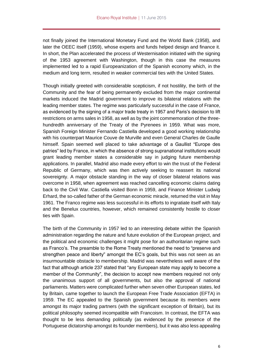not finally joined the International Monetary Fund and the World Bank (1958), and later the OEEC itself (1959), whose experts and funds helped design and finance it. In short, the Plan accelerated the process of Westernisation initiated with the signing of the 1953 agreement with Washington, though in this case the measures implemented led to a rapid Europeanization of the Spanish economy which, in the medium and long term, resulted in weaker commercial ties with the United States.

Though initially greeted with considerable scepticism, if not hostility, the birth of the Community and the fear of being permanently excluded from the major continental markets induced the Madrid government to improve its bilateral relations with the leading member states. The regime was particularly successful in the case of France, as evidenced by the signing of a major trade treaty in 1957 and Paris's decision to lift restrictions on arms sales in 1958, as well as by the joint commemoration of the threehundredth anniversary of the Treaty of the Pyrenees in 1959. What was more, Spanish Foreign Minister Fernando Castiella developed a good working relationship with his counterpart Maurice Couve de Murville and even General Charles de Gaulle himself. Spain seemed well placed to take advantage of a Gaullist "Europe des patries" led by France, in which the absence of strong supranational institutions would grant leading member states a considerable say in judging future membership applications. In parallel, Madrid also made every effort to win the trust of the Federal Republic of Germany, which was then actively seeking to reassert its national sovereignty. A major obstacle standing in the way of closer bilateral relations was overcome in 1958, when agreement was reached cancelling economic claims dating back to the Civil War. Castiella visited Bonn in 1959, and Finance Minister Ludwig Erhard, the so-called father of the German economic miracle, returned the visit in May 1961. The Franco regime was less successful in its efforts to ingratiate itself with Italy and the Benelux countries, however, which remained consistently hostile to closer ties with Spain.

The birth of the Community in 1957 led to an interesting debate within the Spanish administration regarding the nature and future evolution of the European project, and the political and economic challenges it might pose for an authoritarian regime such as Franco's. The preamble to the Rome Treaty mentioned the need to "preserve and strengthen peace and liberty" amongst the EC's goals, but this was not seen as an insurmountable obstacle to membership. Madrid was nevertheless well aware of the fact that although article 237 stated that "any European state may apply to become a member of the Community", the decision to accept new members required not only the unanimous support of all governments, but also the approval of national parliaments. Matters were complicated further when seven other European states, led by Britain, came together to launch the European Free Trade Association (EFTA) in 1959. The EC appealed to the Spanish government because its members were amongst its major trading partners (with the significant exception of Britain), but its political philosophy seemed incompatible with Francoism. In contrast, the EFTA was thought to be less demanding politically (as evidenced by the presence of the Portuguese dictatorship amongst its founder members), but it was also less appealing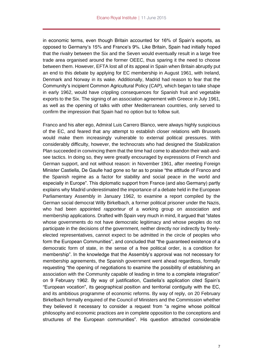in economic terms, even though Britain accounted for 16% of Spain's exports, as opposed to Germany's 15% and France's 9%. Like Britain, Spain had initially hoped that the rivalry between the Six and the Seven would eventually result in a large free trade area organised around the former OEEC, thus sparing it the need to choose between them. However, EFTA lost all of its appeal in Spain when Britain abruptly put an end to this debate by applying for EC membership in August 1961, with Ireland, Denmark and Norway in its wake. Additionally, Madrid had reason to fear that the Community's incipient Common Agricultural Policy (CAP), which began to take shape in early 1962, would have crippling consequences for Spanish fruit and vegetable exports to the Six. The signing of an association agreement with Greece in July 1961, as well as the opening of talks with other Mediterranean countries, only served to confirm the impression that Spain had no option but to follow suit.

Franco and his alter ego, Admiral Luis Carrero Blanco, were always highly suspicious of the EC, and feared that any attempt to establish closer relations with Brussels would make them increasingly vulnerable to external political pressures. With considerably difficulty, however, the technocrats who had designed the Stabilization Plan succeeded in convincing them that the time had come to abandon their wait-andsee tactics. In doing so, they were greatly encouraged by expressions of French and German support, and not without reason: in November 1961, after meeting Foreign Minister Castiella, De Gaulle had gone so far as to praise "the attitude of Franco and the Spanish regime as a factor for stability and social peace in the world and especially in Europe". This diplomatic support from France (and also Germany) partly explains why Madrid underestimated the importance of a debate held in the European Parliamentary Assembly in January 1962, to examine a report compiled by the German social democrat Willy Birkelbach, a former political prisoner under the Nazis, who had been appointed *rapporteur* of a working group on association and membership applications. Drafted with Spain very much in mind, it argued that "states whose governments do not have democratic legitimacy and whose peoples do not participate in the decisions of the government, neither directly nor indirectly by freelyelected representatives, cannot expect to be admitted in the circle of peoples who form the European Communities", and concluded that "the guaranteed existence of a democratic form of state, in the sense of a free political order, is a condition for membership". In the knowledge that the Assembly's approval was not necessary for membership agreements, the Spanish government went ahead regardless, formally requesting "the opening of negotiations to examine the possibility of establishing an association with the Community capable of leading in time to a complete integration" on 9 February 1962. By way of justification, Castiella's application cited Spain's "European vocation", its geographical position and territorial contiguity with the EC, and its ambitious programme of economic reforms. By way of reply, on 20 February Birkelbach formally enquired of the Council of Ministers and the Commission whether they believed it necessary to consider a request from "a regime whose political philosophy and economic practices are in complete opposition to the conceptions and structures of the European communities". His question attracted considerable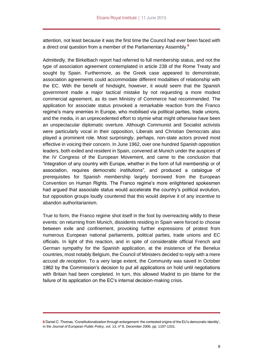attention, not least because it was the first time the Council had ever been faced with a direct oral question from a member of the Parliamentary Assembly.**<sup>6</sup>**

Admittedly, the Birkelbach report had referred to full membership status, and not the type of association agreement contemplated in article 238 of the Rome Treaty and sought by Spain. Furthermore, as the Greek case appeared to demonstrate, association agreements could accommodate different modalities of relationship with the EC. With the benefit of hindsight, however, it would seem that the Spanish government made a major tactical mistake by not requesting a more modest commercial agreement, as its own Ministry of Commerce had recommended. The application for associate status provoked a remarkable reaction from the Franco regime's many enemies in Europe, who mobilised via political parties, trade unions, and the media, in an unprecedented effort to stymie what might otherwise have been an unspectacular diplomatic overture. Although Communist and Socialist activists were particularly vocal in their opposition, Liberals and Christian Democrats also played a prominent role. Most surprisingly, perhaps, non-state actors proved most effective in voicing their concern. In June 1962, over one hundred Spanish opposition leaders, both exiled and resident in Spain, convened at Munich under the auspices of the IV Congress of the European Movement, and came to the conclusion that "integration of any country with Europe, whether in the form of full membership or of association, requires democratic institutions", and produced a catalogue of prerequisites for Spanish membership largely borrowed from the European Convention on Human Rights. The Franco regime's more enlightened spokesmen had argued that associate status would accelerate the country's political evolution, but opposition groups loudly countered that this would deprive it of any incentive to abandon authoritarianism.

True to form, the Franco regime shot itself in the foot by overreacting wildly to these events: on returning from Munich, dissidents residing in Spain were forced to choose between exile and confinement, provoking further expressions of protest from numerous European national parliaments, political parties, trade unions and EC officials. In light of this reaction, and in spite of considerable official French and German sympathy for the Spanish application, at the insistence of the Benelux countries, most notably Belgium, the Council of Ministers decided to reply with a mere *accusé de reception*. To a very large extent, the Community was saved in October 1962 by the Commission's decision to put all applications on hold until negotiations with Britain had been completed. In turn, this allowed Madrid to pin blame for the failure of its application on the EC's internal decision-making crisis.

**<sup>6</sup>** Daniel C. Thomas, 'Constitutionalization through enlargement: the contested origins of the EU's democratic identity', in the *Journal of European Public Policy*, vol. 13, nº 8, December 2006, pp. 1197-1201.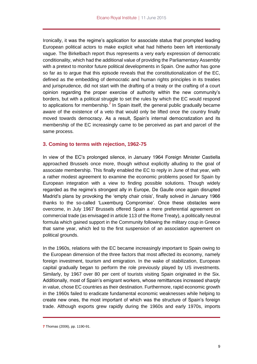Ironically, it was the regime's application for associate status that prompted leading European political actors to make explicit what had hitherto been left intentionally vague. The Birkelbach report thus represents a very early expression of democratic conditionality, which had the additional value of providing the Parliamentary Assembly with a pretext to monitor future political developments in Spain. One author has gone so far as to argue that this episode reveals that the constitutionalization of the EC, defined as the embedding of democratic and human rights principles in its treaties and jurisprudence, did not start with the drafting of a treaty or the crafting of a court opinion regarding the proper exercise of authority within the new community's borders, but with a political struggle to set the rules by which the EC would respond to applications for membership.**<sup>7</sup>** In Spain itself, the general public gradually became aware of the existence of a veto that would only be lifted once the country finally moved towards democracy. As a result, Spain's internal democratization and its membership of the EC increasingly came to be perceived as part and parcel of the same process.

## <span id="page-8-0"></span>**3. Coming to terms with rejection, 1962-75**

In view of the EC's prolonged silence, in January 1964 Foreign Minister Castiella approached Brussels once more, though without explicitly alluding to the goal of associate membership. This finally enabled the EC to reply in June of that year, with a rather modest agreement to examine the economic problems posed for Spain by European integration with a view to finding possible solutions. Though widely regarded as the regime's strongest ally in Europe, De Gaulle once again disrupted Madrid's plans by provoking the 'empty chair crisis', finally solved in January 1966 thanks to the so-called 'Luxemburg Compromise'. Once these obstacles were overcome, in July 1967 Brussels offered Spain a mere preferential agreement on commercial trade (as envisaged in article 113 of the Rome Treaty), a politically neutral formula which gained support in the Community following the military coup in Greece that same year, which led to the first suspension of an association agreement on political grounds.

In the 1960s, relations with the EC became increasingly important to Spain owing to the European dimension of the three factors that most affected its economy, namely foreign investment, tourism and emigration. In the wake of stabilization, European capital gradually began to perform the role previously played by US investments. Similarly, by 1967 over 80 per cent of tourists visiting Spain originated in the Six. Additionally, most of Spain's emigrant workers, whose remittances increased sharply in value, chose EC countries as their destination. Furthermore, rapid economic growth in the 1960s failed to eradicate fundamental economic weaknesses while helping to create new ones, the most important of which was the structure of Spain's foreign trade. Although exports grew rapidly during the 1960s and early 1970s, imports

**<sup>7</sup>** Thomas (2006), pp. 1190-91.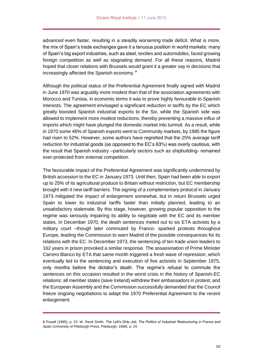advanced even faster, resulting in a steadily worsening trade deficit. What is more, the mix of Spain's trade exchanges gave it a tenuous position in world markets: many of Spain's big export industries, such as steel, textiles and automobiles, faced growing foreign competition as well as stagnating demand. For all these reasons, Madrid hoped that closer relations with Brussels would grant it a greater say in decisions that increasingly affected the Spanish economy. **<sup>8</sup>**

Although the political status of the Preferential Agreement finally signed with Madrid in June 1970 was arguably more modest than that of the association agreements with Morocco and Tunisia, in economic terms it was to prove highly favourable to Spanish interests. The agreement envisaged a significant reduction in tariffs by the EC which greatly boosted Spanish industrial exports to the Six, while the Spanish side was allowed to implement more modest reductions, thereby preventing a massive influx of imports which might have plunged the domestic market into turmoil. As a result, while in 1970 some 46% of Spanish exports went to Community markets, by 1985 the figure had risen to 52%. However, some authors have regretted that the 25% average tariff reduction for industrial goods (as opposed to the EC's 63%) was overly cautious, with the result that Spanish industry –particularly sectors such as shipbuilding- remained over-protected from external competition.

The favourable impact of the Preferential Agreement was significantly undermined by British accession to the EC in January 1973. Until then, Spain had been able to export up to 25% of its agricultural produce to Britain without restriction, but EC membership brought with it new tariff barriers. The signing of a complementary protocol in January 1973 mitigated the impact of enlargement somewhat, but in return Brussels urged Spain to lower its industrial tariffs faster than initially planned, leading to an unsatisfactory stalemate. By this stage, however, growing popular opposition to the regime was seriously impairing its ability to negotiate with the EC and its member states. In December 1970, the death sentences meted out to six ETA activists by a military court –though later commuted by Franco- sparked protests throughout Europe, leading the Commission to warn Madrid of the possible consequences for its relations with the EC. In December 1973, the sentencing of ten trade union leaders to 162 years in prison provoked a similar response. The assassination of Prime Minister Carrero Blanco by ETA that same month triggered a fresh wave of repression, which eventually led to the sentencing and execution of five activists in September 1975, only months before the dictator's death. The regime's refusal to commute the sentences on this occasion resulted in the worst crisis in the history of Spanish-EC relations: all member states (save Ireland) withdrew their ambassadors in protest, and the European Assembly and the Commission successfully demanded that the Council freeze ongoing negotiations to adapt the 1970 Preferential Agreement to the recent enlargement.

**<sup>8</sup>** Powell (1995), p. 23. W. Rand Smith, *The Left's Dirty Job. The Politics of Industrial Restructuring in France and Spain* (University of Pittsburgh Press, Pittsburgh, 1998), p. 24.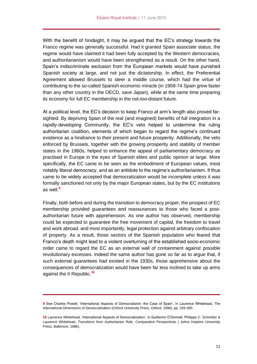With the benefit of hindsight, it may be argued that the EC's strategy towards the Franco regime was generally successful. Had it granted Spain associate status, the regime would have claimed it had been fully accepted by the Western democracies, and authoritarianism would have been strengthened as a result. On the other hand, Spain's indiscriminate exclusion from the European markets would have punished Spanish society at large, and not just the dictatorship. In effect, the Preferential Agreement allowed Brussels to steer a middle course, which had the virtue of contributing to the so-called Spanish economic miracle (in 1959-74 Spain grew faster than any other country in the OECD, save Japan), while at the same time preparing its economy for full EC membership in the not-too-distant future.

At a political level, the EC's decision to keep Franco at arm's length also proved farsighted. By depriving Spain of the real (and imagined) benefits of full integration in a rapidly-developing Community, the EC's veto helped to undermine the ruling authoritarian coalition, elements of which began to regard the regime's continued existence as a hindrance to their present and future prosperity. Additionally, the veto enforced by Brussels, together with the growing prosperity and stability of member states in the 1960s, helped to enhance the appeal of parliamentary democracy as practised in Europe in the eyes of Spanish elites and public opinion at large. More specifically, the EC came to be seen as the embodiment of European values, most notably liberal democracy, and as an antidote to the regime's authoritarianism. It thus came to be widely accepted that democratization would be incomplete unless it was formally sanctioned not only by the major European states, but by the EC institutions as well.**<sup>9</sup>**

Finally, both before and during the transition to democracy proper, the prospect of EC membership provided guarantees and reassurances to those who faced a postauthoritarian future with apprehension. As one author has observed, membership could be expected to guarantee the free movement of capital, the freedom to travel and work abroad, and most importantly, legal protection against arbitrary confiscation of property. As a result, those sectors of the Spanish population who feared that Franco's death might lead to a violent overturning of the established socio-economic order came to regard the EC as an external wall of containment against possible revolutionary excesses. Indeed the same author has gone so far as to argue that, if such external guarantees had existed in the 1930s, those apprehensive about the consequences of democratization would have been far less inclined to take up arms against the II Republic.**<sup>10</sup>**

**<sup>9</sup>** See Charles Powell, 'International Aspects of Democratizion: the Case of Spain', in Laurence Whitehead, *The International Dimensions of Democratization* (Oxford University Press, Oxford, 1996), pp. 293-300.

**<sup>10</sup>** Laurence Whitehead, 'International Aspects of Democratization', in Guillermo O'Donnell, Philippe C. Schmitter & Laurence Whitehead, *Transitions from Authoritarian Rule. Comparative Perspectives* ( Johns Hopkins University Press, Baltimore, 1986).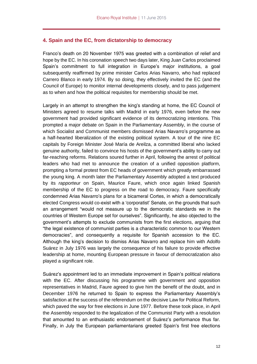## <span id="page-11-0"></span>**4. Spain and the EC, from dictatorship to democracy**

Franco's death on 20 November 1975 was greeted with a combination of relief and hope by the EC. In his coronation speech two days later, King Juan Carlos proclaimed Spain's commitment to full integration in Europe's major institutions, a goal subsequently reaffirmed by prime minister Carlos Arias Navarro, who had replaced Carrero Blanco in early 1974. By so doing, they effectively invited the EC (and the Council of Europe) to monitor internal developments closely, and to pass judgement as to when and how the political requisites for membership should be met.

Largely in an attempt to strengthen the king's standing at home, the EC Council of Ministers agreed to resume talks with Madrid in early 1976, even before the new government had provided significant evidence of its democratizing intentions. This prompted a major debate on Spain in the Parliamentary Assembly, in the course of which Socialist and Communist members dismissed Arias Navarro's programme as a half-hearted liberalization of the existing political system. A tour of the nine EC capitals by Foreign Minister José María de Areilza, a committed liberal who lacked genuine authority, failed to convince his hosts of the government's ability to carry out far-reaching reforms. Relations soured further in April, following the arrest of political leaders who had met to announce the creation of a unified opposition platform, prompting a formal protest from EC heads of government which greatly embarrassed the young king. A month later the Parliamentary Assembly adopted a text produced by its *rapporteur* on Spain, Maurice Faure, which once again linked Spanish membership of the EC to progress on the road to democracy. Faure specifically condemned Arias Navarro's plans for a bicameral Cortes, in which a democratically elected Congress would co-exist with a 'corporatist' Senate, on the grounds that such an arrangement "would not measure up to the democratic standards we in the countries of Western Europe set for ourselves". Significantly, he also objected to the government's attempts to exclude communists from the first elections, arguing that "the legal existence of communist parties is a characteristic common to our Western democracies", and consequently a requisite for Spanish accession to the EC. Although the king's decision to dismiss Arias Navarro and replace him with Adolfo Suárez in July 1976 was largely the consequence of his failure to provide effective leadership at home, mounting European pressure in favour of democratization also played a significant role.

Suárez's appointment led to an immediate improvement in Spain's political relations with the EC. After discussing his programme with government and opposition representatives in Madrid, Faure agreed to give him the benefit of the doubt, and in December 1976 he returned to Spain to express the Parliamentary Assembly's satisfaction at the success of the referendum on the decisive Law for Political Reform, which paved the way for free elections in June 1977. Before these took place, in April the Assembly responded to the legalization of the Communist Party with a resolution that amounted to an enthusiastic endorsement of Suárez's performance thus far. Finally, in July the European parliamentarians greeted Spain's first free elections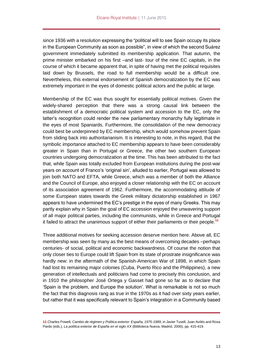since 1936 with a resolution expressing the "political will to see Spain occupy its place in the European Community as soon as possible", in view of which the second Suárez government immediately submitted its membership application. That autumn, the prime minister embarked on his first –and last- tour of the nine EC capitals, in the course of which it became apparent that, in spite of having met the political requisites laid down by Brussels, the road to full membership would be a difficult one. Nevertheless, this external endorsement of Spanish democratization by the EC was extremely important in the eyes of domestic political actors and the public at large.

Membership of the EC was thus sought for essentially political motives. Given the widely-shared perception that there was a strong causal link between the establishment of a democratic political system and accession to the EC, only the latter's recognition could render the new parliamentary monarchy fully legitimate in the eyes of most Spaniards. Furthermore, the consolidation of the new democracy could best be underpinned by EC membership, which would somehow prevent Spain from sliding back into authoritarianism. It is interesting to note, in this regard, that the symbolic importance attached to EC membership appears to have been considerably greater in Spain than in Portugal or Greece, the other two southern European countries undergoing democratization at the time. This has been attributed to the fact that, while Spain was totally excluded from European institutions during the post-war years on account of Franco's 'original sin', alluded to earlier, Portugal was allowed to join both NATO and EFTA, while Greece, which was a member of both the Alliance and the Council of Europe, also enjoyed a closer relationship with the EC on account of its association agreement of 1962. Furthermore, the accommodating attitude of some European states towards the Greek military dictatorship established in 1967 appears to have undermined the EC's prestige in the eyes of many Greeks. This may partly explain why in Spain the goal of EC accession enjoyed the unwavering support of all major political parties, including the communists, while in Greece and Portugal it failed to attract the unanimous support of either their parliaments or their people.**<sup>11</sup>**

Three additional motives for seeking accession deserve mention here. Above all, EC membership was seen by many as the best means of overcoming decades –perhaps centuries- of social, political and economic backwardness. Of course the notion that only closer ties to Europe could lift Spain from its state of prostrate insignificance was hardly new: in the aftermath of the Spanish-American War of 1898, in which Spain had lost its remaining major colonies (Cuba, Puerto Rico and the Philippines), a new generation of intellectuals and politicians had come to precisely this conclusion, and in 1910 the philosopher José Ortega y Gasset had gone so far as to declare that 'Spain is the problem, and Europe the solution'. What is remarkable is not so much the fact that this diagnosis rang as true in the 1970s as it had over sixty years earlier, but rather that it was specifically relevant to Spain's integration in a Community based

**<sup>11</sup>** Charles Powell, *Cambio de régimen y Política exterior: España, 1975-1989*, in Javier Tusell, Juan Avilés and Rosa Pardo (eds.), *La política exterior de España en el siglo XX* (Biblioteca Nueva, Madrid, 2000), pp. 415-419.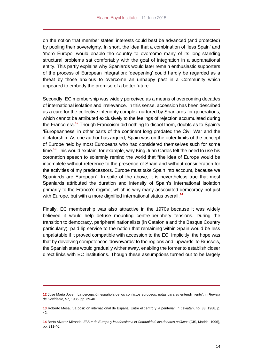on the notion that member states' interests could best be advanced (and protected) by pooling their sovereignty. In short, the idea that a combination of 'less Spain' and 'more Europe' would enable the country to overcome many of its long-standing structural problems sat comfortably with the goal of integration in a supranational entity. This partly explains why Spaniards would later remain enthusiastic supporters of the process of European integration: 'deepening' could hardly be regarded as a threat by those anxious to overcome an unhappy past in a Community which appeared to embody the promise of a better future.

Secondly, EC membership was widely perceived as a means of overcoming decades of international isolation and irrelevance. In this sense, accession has been described as a cure for the collective inferiority complex nurtured by Spaniards for generations, which cannot be attributed exclusively to the feelings of rejection accumulated during the Franco era.**<sup>12</sup>** Though Francoism did nothing to dispel them, doubts as to Spain's 'Europeanness' in other parts of the continent long predated the Civil War and the dictatorship. As one author has argued, Spain was on the outer limits of the concept of Europe held by most Europeans who had considered themselves such for some time.**<sup>13</sup>** This would explain, for example, why King Juan Carlos felt the need to use his coronation speech to solemnly remind the world that "the idea of Europe would be incomplete without reference to the presence of Spain and without consideration for the activities of my predecessors. Europe must take Spain into account, because we Spaniards are European". In spite of the above, it is nevertheless true that most Spaniards attributed the duration and intensity of Spain's international isolation primarily to the Franco's regime, which is why many associated democracy not just with Europe, but with a more dignified international status overall.**<sup>14</sup>**

Finally, EC membership was also attractive in the 1970s because it was widely believed it would help defuse mounting centre-periphery tensions. During the transition to democracy, peripheral nationalists (in Catalonia and the Basque Country particularly), paid lip service to the notion that remaining within Spain would be less unpalatable if it proved compatible with accession to the EC. Implicitly, the hope was that by devolving competences 'downwards' to the regions and 'upwards' to Brussels, the Spanish state would gradually wither away, enabling the former to establish closer direct links with EC institutions. Though these assumptions turned out to be largely

**<sup>12</sup>** José María Jover, 'La percepción española de los conflictos europeos: notas para su entendimiento', in *Revista de Occidente*, 57, 1986, pp. 39-40.

**<sup>13</sup>** Roberto Mesa, 'La posición internacional de España. Entre el centro y la periferia', in *Leviatán*, no. 33, 1988, p. 42.

**<sup>14</sup>** Berta Álvarez Miranda, *El Sur de Europa y la adhesión a la Comunidad: los debates políticos* (CIS, Madrid, 1996), pp. 311-40.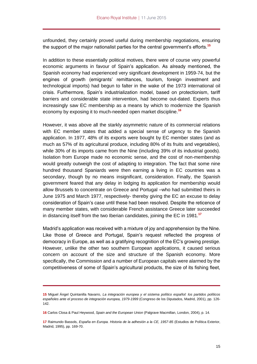unfounded, they certainly proved useful during membership negotiations, ensuring the support of the major nationalist parties for the central government's efforts.**<sup>15</sup>**

In addition to these essentially political motives, there were of course very powerful economic arguments in favour of Spain's application. As already mentioned, the Spanish economy had experienced very significant development in 1959-74, but the engines of growth (emigrants' remittances, tourism, foreign investment and technological imports) had begun to falter in the wake of the 1973 international oil crisis. Furthermore, Spain's industrialization model, based on protectionism, tariff barriers and considerable state intervention, had become out-dated. Experts thus increasingly saw EC membership as a means by which to modernize the Spanish economy by exposing it to much-needed open market discipline.**<sup>16</sup>**

However, it was above all the starkly asymmetric nature of its commercial relations with EC member states that added a special sense of urgency to the Spanish application. In 1977, 48% of its exports were bought by EC member states (and as much as 57% of its agricultural produce, including 80% of its fruits and vegetables), while 30% of its imports came from the Nine (including 39% of its industrial goods). Isolation from Europe made no economic sense, and the cost of non-membership would greatly outweigh the cost of adapting to integration. The fact that some nine hundred thousand Spaniards were then earning a living in EC countries was a secondary, though by no means insignificant, consideration. Finally, the Spanish government feared that any delay in lodging its application for membership would allow Brussels to concentrate on Greece and Portugal –who had submitted theirs in June 1975 and March 1977, respectively- thereby giving the EC an excuse to delay consideration of Spain's case until these had been resolved. Despite the reticence of many member states, with considerable French assistance Greece later succeeded in distancing itself from the two Iberian candidates, joining the EC in 1981.**<sup>17</sup>**

Madrid's application was received with a mixture of joy and apprehension by the Nine. Like those of Greece and Portugal, Spain's request reflected the progress of democracy in Europe, as well as a gratifying recognition of the EC's growing prestige. However, unlike the other two southern European applications, it caused serious concern on account of the size and structure of the Spanish economy. More specifically, the Commission and a number of European capitals were alarmed by the competitiveness of some of Spain's agricultural products, the size of its fishing fleet,

**<sup>15</sup>** Miguel Ángel Quintanilla Navarro, *La integración europea y el sistema político español: los partidos políticos españoles ante el proceso de integración europea, 1979-1999* (Congreso de los Diputados, Madrid, 2001), pp. 126- 142.

**<sup>16</sup>** Carlos Closa & Paul Heywood, *Spain and the European Union* (Palgrave Macmillan, London, 2004), p. 14.

**<sup>17</sup>** Raimundo Bassols, *España en Europa. Historia de la adhesión a la CE, 1957-85* (Estudios de Política Exterior, Madrid, 1995), pp. 169-70.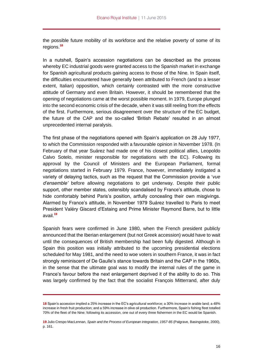the possible future mobility of its workforce and the relative poverty of some of its regions.**<sup>18</sup>**

In a nutshell, Spain's accession negotiations can be described as the process whereby EC industrial goods were granted access to the Spanish market in exchange for Spanish agricultural products gaining access to those of the Nine. In Spain itself, the difficulties encountered have generally been attributed to French (and to a lesser extent, Italian) opposition, which certainly contrasted with the more constructive attitude of Germany and even Britain. However, it should be remembered that the opening of negotiations came at the worst possible moment. In 1979, Europe plunged into the second economic crisis of the decade, when it was still reeling from the effects of the first. Furthermore, serious disagreement over the structure of the EC budget, the future of the CAP and the so-called 'British Rebate' resulted in an almost unprecedented internal paralysis.

The first phase of the negotiations opened with Spain's application on 28 July 1977, to which the Commission responded with a favourable opinion in November 1978. (In February of that year Suárez had made one of his closest political allies, Leopoldo Calvo Sotelo, minister responsible for negotiations with the EC). Following its approval by the Council of Ministers and the European Parliament, formal negotiations started in February 1979. France, however, immediately instigated a variety of delaying tactics, such as the request that the Commission provide a '*vue d'ensemble'* before allowing negotiations to get underway. Despite their public support, other member states, ostensibly scandalised by France's attitude, chose to hide comfortably behind Paris's position, artfully concealing their own misgivings. Alarmed by France's attitude, in November 1979 Suárez travelled to Paris to meet President Valéry Giscard d'Estaing and Prime Minister Raymond Barre, but to little avail.**<sup>19</sup>**

Spanish fears were confirmed in June 1980, when the French president publicly announced that the Iberian enlargement (but not Greek accession) would have to wait until the consequences of British membership had been fully digested. Although in Spain this position was initially attributed to the upcoming presidential elections scheduled for May 1981, and the need to woe voters in southern France, it was in fact strongly reminiscent of De Gaulle's stance towards Britain and the CAP in the 1960s, in the sense that the ultimate goal was to modify the internal rules of the game in France's favour before the next enlargement deprived it of the ability to do so. This was largely confirmed by the fact that the socialist François Mitterrand, after duly

**<sup>18</sup>** Spain's accession implied a 25% increase in the EC's agricultural workforce; a 30% increase in arable land; a 48% increase in fresh fruit production; and a 59% increase in olive oil production. Furthermore, Spain's fishing fleet totalled 70% of the fleet of the Nine; following its accession, one out of every three fishermen in the EC would be Spanish.

**<sup>19</sup>** Julio Crespo MacLennan, *Spain and the Process of European integration, 1957-85* (Palgrave, Basingstoke, 2000), p. 161.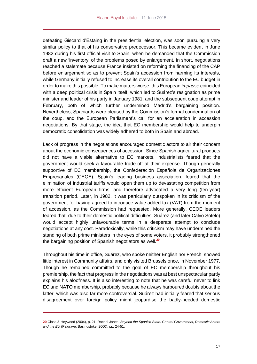defeating Giscard d'Estaing in the presidential election, was soon pursuing a very similar policy to that of his conservative predecessor. This became evident in June 1982 during his first official visit to Spain, when he demanded that the Commission draft a new 'inventory' of the problems posed by enlargement. In short, negotiations reached a stalemate because France insisted on reforming the financing of the CAP before enlargement so as to prevent Spain's accession from harming its interests, while Germany initially refused to increase its overall contribution to the EC budget in order to make this possible. To make matters worse, this European *impasse* coincided with a deep political crisis in Spain itself, which led to Suárez's resignation as prime minister and leader of his party in January 1981, and the subsequent coup attempt in February, both of which further undermined Madrid's bargaining position. Nevertheless, Spaniards were pleased by the Commission's formal condemnation of the coup, and the European Parliament's call for an acceleration in accession negotiations. By that stage, the idea that EC membership would help to underpin democratic consolidation was widely adhered to both in Spain and abroad.

Lack of progress in the negotiations encouraged domestic actors to air their concern about the economic consequences of accession. Since Spanish agricultural products did not have a viable alternative to EC markets, industrialists feared that the government would seek a favourable trade-off at their expense. Though generally supportive of EC membership, the Confederación Española de Organizaciones Empresariales (CEOE), Spain's leading business association, feared that the elimination of industrial tariffs would open them up to devastating competition from more efficient European firms, and therefore advocated a very long (ten-year) transition period. Later, in 1982, it was particularly outspoken in its criticism of the government for having agreed to introduce value added tax (VAT) from the moment of accession, as the Commission had requested. More generally, CEOE leaders feared that, due to their domestic political difficulties, Suárez (and later Calvo Sotelo) would accept highly unfavourable terms in a desperate attempt to conclude negotiations at any cost. Paradoxically, while this criticism may have undermined the standing of both prime ministers in the eyes of some voters, it probably strengthened the bargaining position of Spanish negotiators as well.**<sup>20</sup>**

Throughout his time in office, Suárez, who spoke neither English nor French, showed little interest in Community affairs, and only visited Brussels once, in November 1977. Though he remained committed to the goal of EC membership throughout his premiership, the fact that progress in the negotiations was at best unspectacular partly explains his aloofness. It is also interesting to note that he was careful never to link EC and NATO membership, probably because he always harboured doubts about the latter, which was also far more controversial. Suárez had initially feared that serious disagreement over foreign policy might jeopardise the badly-needed domestic

**<sup>20</sup>** Closa & Heywood (2004), p. 21. Rachel Jones, *Beyond the Spanish State. Central Government, Domestic Actors and the EU* (Palgrave, Basingstoke, 2000), pp. 24-51.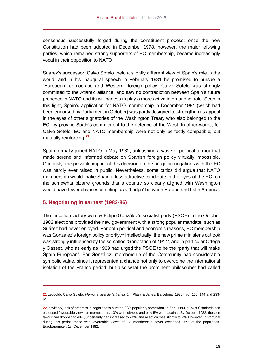consensus successfully forged during the constituent process; once the new Constitution had been adopted in December 1978, however, the major left-wing parties, which remained strong supporters of EC membership, became increasingly vocal in their opposition to NATO.

Suárez's successor, Calvo Sotelo, held a slightly different view of Spain's role in the world, and in his inaugural speech in February 1981 he promised to pursue a "European, democratic and Western" foreign policy. Calvo Sotelo was strongly committed to the Atlantic alliance, and saw no contradiction between Spain's future presence in NATO and its willingness to play a more active international role. Seen in this light, Spain's application for NATO membership in December 1981 (which had been endorsed by Parliament in October) was partly designed to strengthen its appeal in the eyes of other signatories of the Washington Treaty who also belonged to the EC, by proving Spain's commitment to the defence of the West. In other words, for Calvo Sotelo, EC and NATO membership were not only perfectly compatible, but mutually reinforcing. **<sup>21</sup>**

Spain formally joined NATO in May 1982, unleashing a wave of political turmoil that made serene and informed debate on Spanish foreign policy virtually impossible. Curiously, the possible impact of this decision on the on-going negations with the EC was hardly ever raised in public. Nevertheless, some critics did argue that NATO membership would make Spain a less attractive candidate in the eyes of the EC, on the somewhat bizarre grounds that a country so clearly aligned with Washington would have fewer chances of acting as a 'bridge' between Europe and Latin America.

## <span id="page-17-0"></span>**5. Negotiating in earnest (1982-86)**

The landslide victory won by Felipe González's socialist party (PSOE) in the October 1982 elections provided the new government with a strong popular mandate, such as Suárez had never enjoyed. For both political and economic reasons, EC membership was González's foreign policy priority.<sup>22</sup> Intellectually, the new prime minister's outlook was strongly influenced by the so-called 'Generation of 1914', and in particular Ortega y Gasset, who as early as 1909 had urged the PSOE to be the "party that will make Spain European". For González, membership of the Community had considerable symbolic value, since it represented a chance not only to overcome the international isolation of the Franco period, but also what the prominent philosopher had called

**<sup>21</sup>** Leopoldo Calvo Sotelo, *Memoria viva de la transición* (Plaza & Janes, Barcelona, 1990), pp. 126, 144 and 233- 34.

**<sup>22</sup>** Inevitably, lack of progress in negotiations hurt the EC's popularity somewhat. In April 1980, 58% of Spaniards had espoused favourable views on membership, 13% were divided and only 5% were against. By October 1982, those in favour had dropped to 48%, uncertainty had increased to 24%, and rejection rose slightly to 7%. However, In Portugal during this period those with favourable views of EC membership never exceeded 25% of the population. Eurobarometer, 18, December 1982.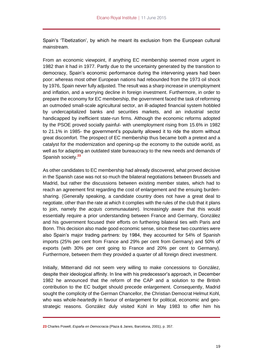Spain's 'Tibetization', by which he meant its exclusion from the European cultural mainstream.

From an economic viewpoint, if anything EC membership seemed more urgent in 1982 than it had in 1977. Partly due to the uncertainty generated by the transition to democracy, Spain's economic performance during the intervening years had been poor: whereas most other European nations had rebounded from the 1973 oil shock by 1976, Spain never fully adjusted. The result was a sharp increase in unemployment and inflation, and a worrying decline in foreign investment. Furthermore, in order to prepare the economy for EC membership, the government faced the task of reforming an outmoded small-scale agricultural sector, an ill-adapted financial system hobbled by undercapitalized banks and securities markets, and an industrial sector handicapped by inefficient state-run firms. Although the economic reforms adopted by the PSOE proved socially painful- with unemployment rising from 15.6% in 1982 to 21.1% in 1985- the government's popularity allowed it to ride the storm without great discomfort. The prospect of EC membership thus became both a pretext and a catalyst for the modernization and opening-up the economy to the outside world, as well as for adapting an outdated state bureaucracy to the new needs and demands of Spanish society.**<sup>23</sup>**

As other candidates to EC membership had already discovered, what proved decisive in the Spanish case was not so much the bilateral negotiations between Brussels and Madrid, but rather the discussions between existing member states, which had to reach an agreement first regarding the cost of enlargement and the ensuing burdensharing. (Generally speaking, a candidate country does not have a great deal to negotiate, other than the rate at which it complies with the rules of the club that it plans to join, namely the *acquis communautaire*). Increasingly aware that this would essentially require a prior understanding between France and Germany, González and his government focused their efforts on furthering bilateral ties with Paris and Bonn. This decision also made good economic sense, since these two countries were also Spain's major trading partners: by 1984, they accounted for 54% of Spanish imports (25% per cent from France and 29% per cent from Germany) and 50% of exports (with 30% per cent going to France and 20% per cent to Germany). Furthermore, between them they provided a quarter of all foreign direct investment.

Initially, Mitterrand did not seem very willing to make concessions to González, despite their ideological affinity. In line with his predecessor's approach, in December 1982 he announced that the reform of the CAP and a solution to the British contribution to the EC budget should precede enlargement. Consequently, Madrid sought the complicity of the German Chancellor, the Christian Democrat Helmut Kohl, who was whole-heartedly in favour of enlargement for political, economic and geostrategic reasons. González duly visited Kohl in May 1983 to offer him his

**<sup>23</sup>** Charles Powell, *España en Democracia* (Plaza & Janes, Barcelona, 2001), p. 357.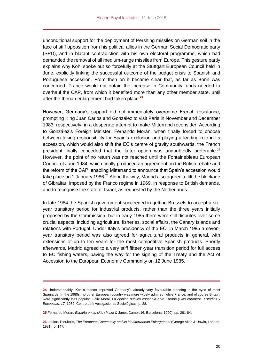unconditional support for the deployment of Pershing missiles on German soil in the face of stiff opposition from his political allies in the German Social Democratic party (SPD), and in blatant contradiction with his own electoral programme, which had demanded the removal of all medium-range missiles from Europe. This gesture partly explains why Kohl spoke out so forcefully at the Stuttgart European Council held in June, explicitly linking the successful outcome of the budget crisis to Spanish and Portuguese accession. From then on it became clear that, as far as Bonn was concerned, France would not obtain the increase in Community funds needed to overhaul the CAP, from which it benefited more than any other member state, until after the Iberian enlargement had taken place.**<sup>24</sup>**

However, Germany's support did not immediately overcome French resistance, prompting King Juan Carlos and González to visit Paris in November and December 1983, respectively, in a desperate attempt to make Mitterrand reconsider. According to González's Foreign Minister, Fernando Morán, when finally forced to choose between taking responsibility for Spain's exclusion and playing a leading role in its accession, which would also shift the EC's centre of gravity southwards, the French president finally conceded that the latter option was undoubtedly preferable.<sup>25</sup> However, the point of no return was not reached until the Fontainebleau European Council of June 1984, which finally produced an agreement on the British rebate and the reform of the CAP, enabling Mitterrand to announce that Spain's accession would take place on 1 January 1986. $^{26}$  Along the way, Madrid also agreed to lift the blockade of Gibraltar, imposed by the Franco regime in 1969, in response to British demands, and to recognise the state of Israel, as requested by the Netherlands.

In late 1984 the Spanish government succeeded in getting Brussels to accept a sixyear transitory period for industrial products, rather than the three years initially proposed by the Commission, but in early 1985 there were still disputes over some crucial aspects, including agriculture, fisheries, social affairs, the Canary Islands and relations with Portugal. Under Italy's presidency of the EC, in March 1985 a sevenyear transitory period was also agreed for agricultural products in general, with extensions of up to ten years for the most competitive Spanish products. Shortly afterwards, Madrid agreed to a very stiff fifteen-year transition period for full access to EC fishing waters, paving the way for the signing of the Treaty and the Act of Accession to the European Economic Community on 12 June 1985.

**<sup>24</sup>** Understandably, Kohl's stance improved Germany's already very favourable standing in the eyes of most Spaniards. In the 1980s, no other European country was more widely admired, while France, and of course Britain, were significantly less popular. Félix Moral, *La opinión pública española ante Europa y los europeos. Estudios y Encuestas, 17*, 1989, Centro de Investigaciones Sociológicas, p. 28.

**<sup>25</sup>** Fernando Moran, *España en su sitio* (Plaza & Janes/Cambio16; Barcelona, 1990), pp. 281-84.

**<sup>26</sup>** Loukas Tsoukalis, *The European Community and its Mediterranean Enlargement* (George Allen & Unwin, London, 1981), p. 147.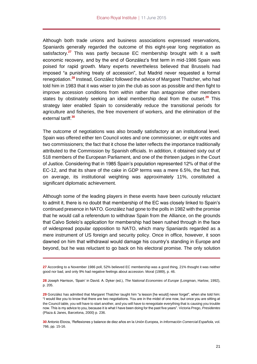Although both trade unions and business associations expressed reservations, Spaniards generally regarded the outcome of this eight-year long negotiation as satisfactory.**<sup>27</sup>** This was partly because EC membership brought with it a swift economic recovery, and by the end of González's first term in mid-1986 Spain was poised for rapid growth. Many experts nevertheless believed that Brussels had imposed "a punishing treaty of accession", but Madrid never requested a formal renegotiation.**<sup>28</sup>** Instead, González followed the advice of Margaret Thatcher, who had told him in 1983 that it was wiser to join the club as soon as possible and then fight to improve accession conditions from within rather than antagonise other members states by obstinately seeking an ideal membership deal from the outset.**<sup>29</sup>** This strategy later enabled Spain to considerably reduce the transitional periods for agriculture and fisheries, the free movement of workers, and the elimination of the external tariff.**<sup>30</sup>**

The outcome of negotiations was also broadly satisfactory at an institutional level. Spain was offered either ten Council votes and one commissioner, or eight votes and two commissioners; the fact that it chose the latter reflects the importance traditionally attributed to the Commission by Spanish officials. In addition, it obtained sixty out of 518 members of the European Parliament, and one of the thirteen judges in the Court of Justice. Considering that in 1985 Spain's population represented 12% of that of the EC-12, and that its share of the cake in GDP terms was a mere 6.5%, the fact that, on average, its institutional weighting was approximately 11%, constituted a significant diplomatic achievement.

Although some of the leading players in these events have been curiously reluctant to admit it, there is no doubt that membership of the EC was closely linked to Spain's continued presence in NATO. González had gone to the polls in 1982 with the promise that he would call a referendum to withdraw Spain from the Alliance, on the grounds that Calvo Sotelo's application for membership had been rushed through in the face of widespread popular opposition to NATO, which many Spaniards regarded as a mere instrument of US foreign and security policy. Once in office, however, it soon dawned on him that withdrawal would damage his country's standing in Europe and beyond, but he was reluctant to go back on his electoral promise. The only solution

**<sup>27</sup>** According to a November 1986 poll, 52% believed EC membership was a good thing, 21% thought it was neither good nor bad, and only 9% had negative feelings about accession. Moral (1989), p. 46.

**<sup>28</sup>** Joseph Harrison, 'Spain' in David. A. Dyker (ed.), *The National Economies of Europe* (Longman, Harlow, 1992), p. 205.

**<sup>29</sup>** González has admitted that Margaret Thatcher taught him "a lesson [he would] never forget", when she told him: "I would like you to know that there are two negotiations. You are in the midst of one now, but once you are sitting at the Council table, you will have to start another, and you will have to renegotiate everything that is causing you trouble now. This is my advice to you, because it is what I have been doing for the past five years". Victoria Prego, *Presidentes* (Plaza & Janes, Barcelona, 2000) p. 236.

**<sup>30</sup>** Antonio Elorza, 'Reflexiones y balance de diez años en la Unión Europea, in *Información Comercial Española*, vol. 766, pp. 15-16.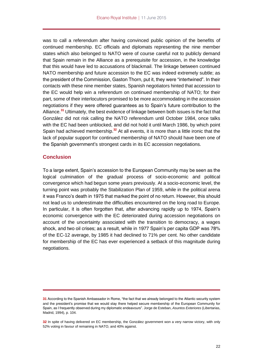was to call a referendum after having convinced public opinion of the benefits of continued membership. EC officials and diplomats representing the nine member states which also belonged to NATO were of course careful not to publicly demand that Spain remain in the Alliance as a prerequisite for accession, in the knowledge that this would have led to accusations of blackmail. The linkage between continued NATO membership and future accession to the EC was indeed extremely subtle; as the president of the Commission, Gaston Thorn, put it, they were "intertwined". In their contacts with these nine member states, Spanish negotiators hinted that accession to the EC would help win a referendum on continued membership of NATO; for their part, some of their interlocutors promised to be more accommodating in the accession negotiations if they were offered guarantees as to Spain's future contribution to the Alliance.**<sup>31</sup>** Ultimately, the best evidence of linkage between both issues is the fact that González did not risk calling the NATO referendum until October 1984, once talks with the EC had been unblocked, and did not hold it until March 1986, by which point Spain had achieved membership.**<sup>32</sup>** At all events, it is more than a little ironic that the lack of popular support for continued membership of NATO should have been one of the Spanish government's strongest cards in its EC accession negotiations.

#### <span id="page-21-0"></span>**Conclusion**

To a large extent, Spain's accession to the European Community may be seen as the logical culmination of the gradual process of socio-economic and political convergence which had begun some years previously. At a socio-economic level, the turning point was probably the Stabilization Plan of 1959, while in the political arena it was Franco's death in 1975 that marked the point of no return. However, this should not lead us to underestimate the difficulties encountered on the long road to Europe. In particular, it is often forgotten that, after advancing rapidly up to 1974, Spain's economic convergence with the EC deteriorated during accession negotiations on account of the uncertainty associated with the transition to democracy, a wages shock, and two oil crises; as a result, while in 1977 Spain's per capita GDP was 78% of the EC-12 average, by 1985 it had declined to 71% per cent. No other candidate for membership of the EC has ever experienced a setback of this magnitude during negotiations.

**<sup>31</sup>** According to the Spanish Ambassador in Rome, "the fact that we already belonged to the Atlantic security system and the president's promise that we would stay there helped secure membership of the European Community for Spain, as I frequently observed during my diplomatic endeavours". Jorge de Esteban, *Asuntos Exteriores* (Libertarias, Madrid, 1994), p. 104.

**<sup>32</sup>** In spite of having delivered on EC membership, the González government won a very narrow victory, with only 52% voting in favour of remaining in NATO, and 40% against.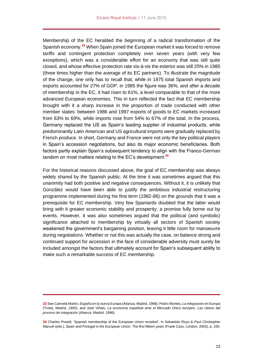Membership of the EC heralded the beginning of a radical transformation of the Spanish economy.**<sup>33</sup>** When Spain joined the European market it was forced to remove tariffs and contingent protection completely over seven years (with very few exceptions), which was a considerable effort for an economy that was still quite closed, and whose effective protection rate vis-à-vis the exterior was still 25% in 1985 (three times higher than the average of its EC partners). To illustrate the magnitude of the change, one only has to recall that, while in 1975 total Spanish imports and exports accounted for 27% of GDP, in 1985 the figure was 36%, and after a decade of membership in the EC, it had risen to 61%, a level comparable to that of the more advanced European economies. This in turn reflected the fact that EC membership brought with it a sharp increase in the proportion of trade conducted with other member states: between 1986 and 1997 exports of goods to EC markets increased from 63% to 69%, while imports rose from 54% to 67% of the total. In the process, Germany replaced the US as Spain's leading supplier of industrial products, while predominantly Latin American and US agricultural imports were gradually replaced by French produce. In short, Germany and France were not only the key political players in Spain's accession negotiations, but also its major economic beneficiaries. Both factors partly explain Spain's subsequent tendency to align with the Franco-German tandem on most matters relating to the EC's development.**<sup>34</sup>**

For the historical reasons discussed above, the goal of EC membership was always widely shared by the Spanish public. At the time it was sometimes argued that this unanimity had both positive and negative consequences. Without it, it is unlikely that González would have been able to justify the ambitious industrial restructuring programme implemented during his first term (1982-86) on the grounds that it was a prerequisite for EC membership. Very few Spaniards doubted that the latter would bring with it greater economic stability and prosperity, a promise fully borne out by events. However, it was also sometimes argued that the political (and symbolic) significance attached to membership by virtually all sectors of Spanish society weakened the government's bargaining position, leaving it little room for manoeuvre during negotiations. Whether or not this was actually the case, on balance strong and continued support for accession in the face of considerable adversity must surely be included amongst the factors that ultimately account for Spain's subsequent ability to make such a remarkable success of EC membership.

**<sup>33</sup>** See Carmela Martín, *España en la nueva Europa* (Alianza, Madrid, 1998); Pedro Montes, *La integración en Europa*  (Trotta, Madrid, 1993); and José Viñals, *La economía española ante el Mercado Único europeo. Las claves del proceso de integración* (Alianza, Madrid, 1996).

**<sup>34</sup>** Charles Powell, 'Spanish membership of the European Union revisited', in Sebastián Royo & Paul Christopher Manuel (eds.), *Spain and Portugal in the European Union. The first fifteen years* (Frank Cass, London, 2003), p. 150.